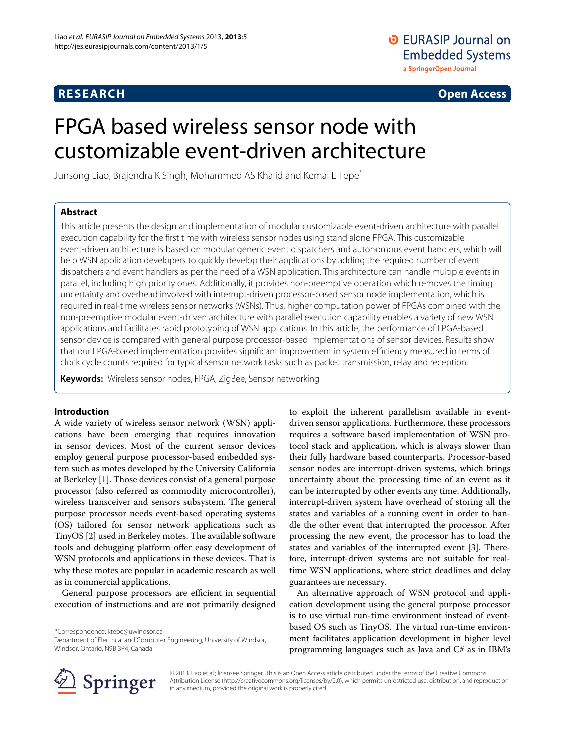### **RESEARCH Open Access**

O EURASIP Journal on **Embedded Systems** a SpringerOpen Journal

# FPGA based wireless sensor node with customizable event-driven architecture

Junsong Liao, Brajendra K Singh, Mohammed AS Khalid and Kemal E Tepe<sup>\*</sup>

#### **Abstract**

This article presents the design and implementation of modular customizable event-driven architecture with parallel execution capability for the first time with wireless sensor nodes using stand alone FPGA. This customizable event-driven architecture is based on modular generic event dispatchers and autonomous event handlers, which will help WSN application developers to quickly develop their applications by adding the required number of event dispatchers and event handlers as per the need of a WSN application. This architecture can handle multiple events in parallel, including high priority ones. Additionally, it provides non-preemptive operation which removes the timing uncertainty and overhead involved with interrupt-driven processor-based sensor node implementation, which is required in real-time wireless sensor networks (WSNs). Thus, higher computation power of FPGAs combined with the non-preemptive modular event-driven architecture with parallel execution capability enables a variety of new WSN applications and facilitates rapid prototyping of WSN applications. In this article, the performance of FPGA-based sensor device is compared with general purpose processor-based implementations of sensor devices. Results show that our FPGA-based implementation provides significant improvement in system efficiency measured in terms of clock cycle counts required for typical sensor network tasks such as packet transmission, relay and reception.

**Keywords:** Wireless sensor nodes, FPGA, ZigBee, Sensor networking

#### **Introduction**

A wide variety of wireless sensor network (WSN) applications have been emerging that requires innovation in sensor devices. Most of the current sensor devices employ general purpose processor-based embedded system such as motes developed by the University California at Berkeley [\[1\]](#page-9-0). Those devices consist of a general purpose processor (also referred as commodity microcontroller), wireless transceiver and sensors subsystem. The general purpose processor needs event-based operating systems (OS) tailored for sensor network applications such as TinyOS [\[2\]](#page-9-1) used in Berkeley motes. The available software tools and debugging platform offer easy development of WSN protocols and applications in these devices. That is why these motes are popular in academic research as well as in commercial applications.

General purpose processors are efficient in sequential execution of instructions and are not primarily designed

\*Correspondence: ktepe@uwindsor.ca

Department of Electrical and Computer Engineering, University of Windsor, Windsor, Ontario, N9B 3P4, Canada

to exploit the inherent parallelism available in eventdriven sensor applications. Furthermore, these processors requires a software based implementation of WSN protocol stack and application, which is always slower than their fully hardware based counterparts. Processor-based sensor nodes are interrupt-driven systems, which brings uncertainty about the processing time of an event as it can be interrupted by other events any time. Additionally, interrupt-driven system have overhead of storing all the states and variables of a running event in order to handle the other event that interrupted the processor. After processing the new event, the processor has to load the states and variables of the interrupted event [\[3\]](#page-9-2). Therefore, interrupt-driven systems are not suitable for realtime WSN applications, where strict deadlines and delay guarantees are necessary.

An alternative approach of WSN protocol and application development using the general purpose processor is to use virtual run-time environment instead of eventbased OS such as TinyOS. The virtual run-time environment facilitates application development in higher level programming languages such as Java and C# as in IBM's



© 2013 Liao et al.; licensee Springer. This is an Open Access article distributed under the terms of the Creative Commons Attribution License (http://creativecommons.org/licenses/by/2.0), which permits unrestricted use, distribution, and reproduction in any medium, provided the original work is properly cited.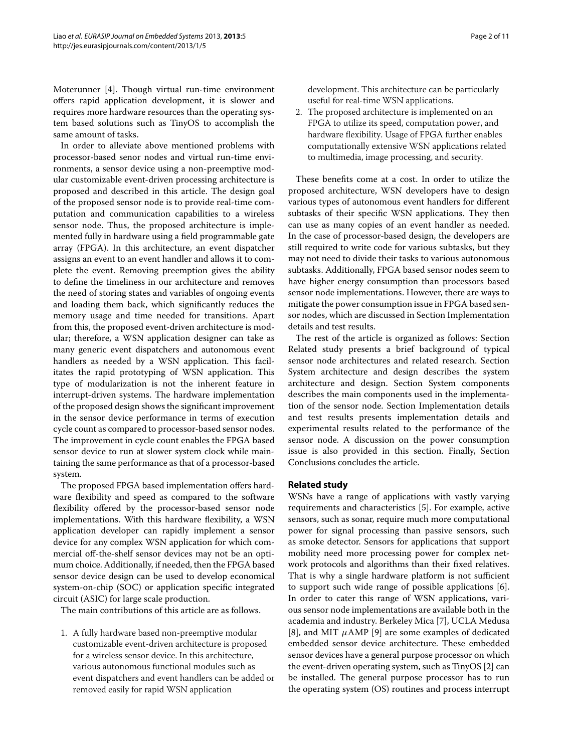Moterunner [\[4\]](#page-9-3). Though virtual run-time environment offers rapid application development, it is slower and requires more hardware resources than the operating system based solutions such as TinyOS to accomplish the same amount of tasks.

In order to alleviate above mentioned problems with processor-based senor nodes and virtual run-time environments, a sensor device using a non-preemptive modular customizable event-driven processing architecture is proposed and described in this article. The design goal of the proposed sensor node is to provide real-time computation and communication capabilities to a wireless sensor node. Thus, the proposed architecture is implemented fully in hardware using a field programmable gate array (FPGA). In this architecture, an event dispatcher assigns an event to an event handler and allows it to complete the event. Removing preemption gives the ability to define the timeliness in our architecture and removes the need of storing states and variables of ongoing events and loading them back, which significantly reduces the memory usage and time needed for transitions. Apart from this, the proposed event-driven architecture is modular; therefore, a WSN application designer can take as many generic event dispatchers and autonomous event handlers as needed by a WSN application. This facilitates the rapid prototyping of WSN application. This type of modularization is not the inherent feature in interrupt-driven systems. The hardware implementation of the proposed design shows the significant improvement in the sensor device performance in terms of execution cycle count as compared to processor-based sensor nodes. The improvement in cycle count enables the FPGA based sensor device to run at slower system clock while maintaining the same performance as that of a processor-based system.

The proposed FPGA based implementation offers hardware flexibility and speed as compared to the software flexibility offered by the processor-based sensor node implementations. With this hardware flexibility, a WSN application developer can rapidly implement a sensor device for any complex WSN application for which commercial off-the-shelf sensor devices may not be an optimum choice. Additionally, if needed, then the FPGA based sensor device design can be used to develop economical system-on-chip (SOC) or application specific integrated circuit (ASIC) for large scale production.

The main contributions of this article are as follows.

1. A fully hardware based non-preemptive modular customizable event-driven architecture is proposed for a wireless sensor device. In this architecture, various autonomous functional modules such as event dispatchers and event handlers can be added or removed easily for rapid WSN application

development. This architecture can be particularly useful for real-time WSN applications.

2. The proposed architecture is implemented on an FPGA to utilize its speed, computation power, and hardware flexibility. Usage of FPGA further enables computationally extensive WSN applications related to multimedia, image processing, and security.

These benefits come at a cost. In order to utilize the proposed architecture, WSN developers have to design various types of autonomous event handlers for different subtasks of their specific WSN applications. They then can use as many copies of an event handler as needed. In the case of processor-based design, the developers are still required to write code for various subtasks, but they may not need to divide their tasks to various autonomous subtasks. Additionally, FPGA based sensor nodes seem to have higher energy consumption than processors based sensor node implementations. However, there are ways to mitigate the power consumption issue in FPGA based sensor nodes, which are discussed in Section Implementation details and test results.

The rest of the article is organized as follows: Section [Related study](#page-1-0) presents a brief background of typical sensor node architectures and related research. Section [System architecture and design](#page-2-0) describes the system architecture and design. Section [System components](#page-5-0) describes the main components used in the implementation of the sensor node. Section Implementation details and test results presents implementation details and experimental results related to the performance of the sensor node. A discussion on the power consumption issue is also provided in this section. Finally, Section [Conclusions](#page-9-4) concludes the article.

#### <span id="page-1-0"></span>**Related study**

WSNs have a range of applications with vastly varying requirements and characteristics [\[5\]](#page-9-5). For example, active sensors, such as sonar, require much more computational power for signal processing than passive sensors, such as smoke detector. Sensors for applications that support mobility need more processing power for complex network protocols and algorithms than their fixed relatives. That is why a single hardware platform is not sufficient to support such wide range of possible applications [\[6\]](#page-10-0). In order to cater this range of WSN applications, various sensor node implementations are available both in the academia and industry. Berkeley Mica [\[7\]](#page-10-1), UCLA Medusa [\[8\]](#page-10-2), and MIT  $\mu$ AMP [\[9\]](#page-10-3) are some examples of dedicated embedded sensor device architecture. These embedded sensor devices have a general purpose processor on which the event-driven operating system, such as TinyOS [\[2\]](#page-9-1) can be installed. The general purpose processor has to run the operating system (OS) routines and process interrupt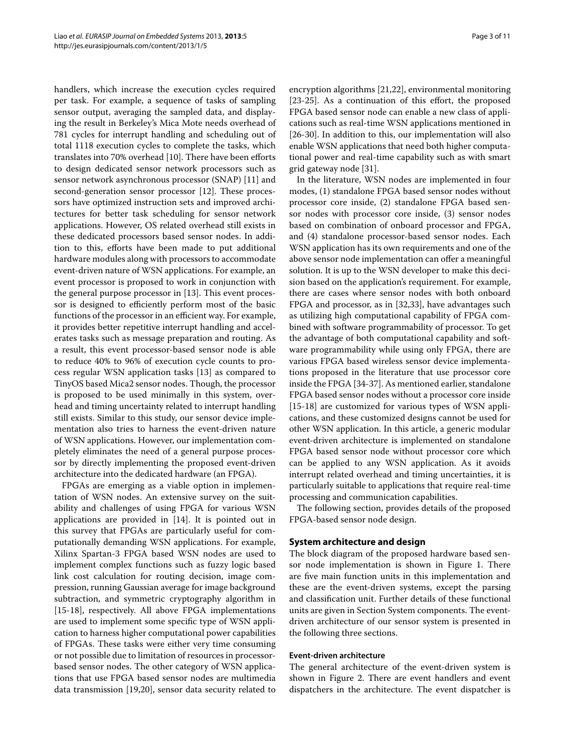handlers, which increase the execution cycles required per task. For example, a sequence of tasks of sampling sensor output, averaging the sampled data, and displaying the result in Berkeley's Mica Mote needs overhead of 781 cycles for interrupt handling and scheduling out of total 1118 execution cycles to complete the tasks, which translates into 70% overhead [\[10\]](#page-10-4). There have been efforts to design dedicated sensor network processors such as sensor network asynchronous processor (SNAP) [\[11\]](#page-10-5) and second-generation sensor processor [\[12\]](#page-10-6). These processors have optimized instruction sets and improved architectures for better task scheduling for sensor network applications. However, OS related overhead still exists in these dedicated processors based sensor nodes. In addition to this, efforts have been made to put additional hardware modules along with processors to accommodate event-driven nature of WSN applications. For example, an event processor is proposed to work in conjunction with the general purpose processor in [\[13\]](#page-10-7). This event processor is designed to efficiently perform most of the basic functions of the processor in an efficient way. For example, it provides better repetitive interrupt handling and accelerates tasks such as message preparation and routing. As a result, this event processor-based sensor node is able to reduce 40% to 96% of execution cycle counts to process regular WSN application tasks [\[13\]](#page-10-7) as compared to TinyOS based Mica2 sensor nodes. Though, the processor is proposed to be used minimally in this system, overhead and timing uncertainty related to interrupt handling still exists. Similar to this study, our sensor device implementation also tries to harness the event-driven nature of WSN applications. However, our implementation completely eliminates the need of a general purpose processor by directly implementing the proposed event-driven architecture into the dedicated hardware (an FPGA).

FPGAs are emerging as a viable option in implementation of WSN nodes. An extensive survey on the suitability and challenges of using FPGA for various WSN applications are provided in [\[14\]](#page-10-8). It is pointed out in this survey that FPGAs are particularly useful for computationally demanding WSN applications. For example, Xilinx Spartan-3 FPGA based WSN nodes are used to implement complex functions such as fuzzy logic based link cost calculation for routing decision, image compression, running Gaussian average for image background subtraction, and symmetric cryptography algorithm in [\[15](#page-10-9)[-18\]](#page-10-10), respectively. All above FPGA implementations are used to implement some specific type of WSN application to harness higher computational power capabilities of FPGAs. These tasks were either very time consuming or not possible due to limitation of resources in processorbased sensor nodes. The other category of WSN applications that use FPGA based sensor nodes are multimedia data transmission [\[19](#page-10-11)[,20\]](#page-10-12), sensor data security related to encryption algorithms [\[21,](#page-10-13)[22\]](#page-10-14), environmental monitoring [\[23](#page-10-15)[-25\]](#page-10-16). As a continuation of this effort, the proposed FPGA based sensor node can enable a new class of applications such as real-time WSN applications mentioned in [\[26](#page-10-17)[-30\]](#page-10-18). In addition to this, our implementation will also enable WSN applications that need both higher computational power and real-time capability such as with smart grid gateway node [\[31\]](#page-10-19).

In the literature, WSN nodes are implemented in four modes, (1) standalone FPGA based sensor nodes without processor core inside, (2) standalone FPGA based sensor nodes with processor core inside, (3) sensor nodes based on combination of onboard processor and FPGA, and (4) standalone processor-based sensor nodes. Each WSN application has its own requirements and one of the above sensor node implementation can offer a meaningful solution. It is up to the WSN developer to make this decision based on the application's requirement. For example, there are cases where sensor nodes with both onboard FPGA and processor, as in [\[32,](#page-10-20)[33\]](#page-10-21), have advantages such as utilizing high computational capability of FPGA combined with software programmability of processor. To get the advantage of both computational capability and software programmability while using only FPGA, there are various FPGA based wireless sensor device implementations proposed in the literature that use processor core inside the FPGA [\[34-](#page-10-22)[37\]](#page-10-23). As mentioned earlier, standalone FPGA based sensor nodes without a processor core inside [\[15](#page-10-9)[-18\]](#page-10-10) are customized for various types of WSN applications, and these customized designs cannot be used for other WSN application. In this article, a generic modular event-driven architecture is implemented on standalone FPGA based sensor node without processor core which can be applied to any WSN application. As it avoids interrupt related overhead and timing uncertainties, it is particularly suitable to applications that require real-time processing and communication capabilities.

The following section, provides details of the proposed FPGA-based sensor node design.

#### <span id="page-2-0"></span>**System architecture and design**

The block diagram of the proposed hardware based sensor node implementation is shown in Figure [1.](#page-3-0) There are five main function units in this implementation and these are the event-driven systems, except the parsing and classification unit. Further details of these functional units are given in Section [System components.](#page-5-0) The eventdriven architecture of our sensor system is presented in the following three sections.

#### **Event-driven architecture**

The general architecture of the event-driven system is shown in Figure [2.](#page-3-1) There are event handlers and event dispatchers in the architecture. The event dispatcher is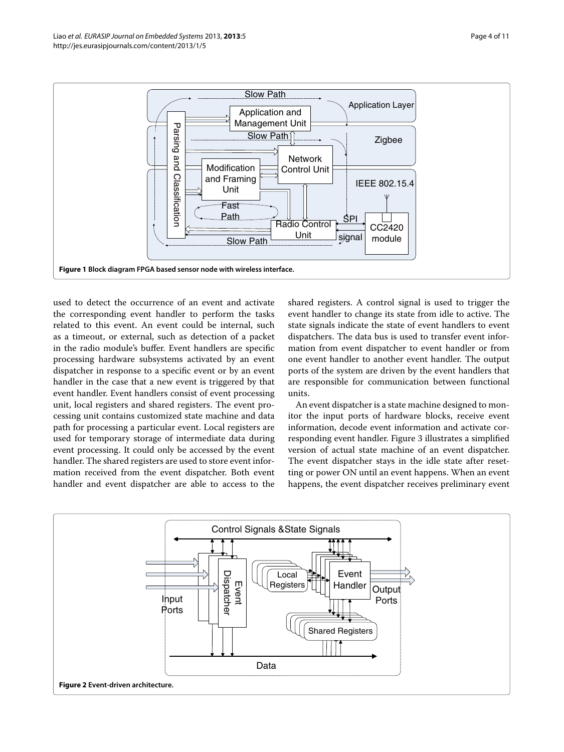

<span id="page-3-0"></span>used to detect the occurrence of an event and activate the corresponding event handler to perform the tasks related to this event. An event could be internal, such as a timeout, or external, such as detection of a packet in the radio module's buffer. Event handlers are specific processing hardware subsystems activated by an event dispatcher in response to a specific event or by an event handler in the case that a new event is triggered by that event handler. Event handlers consist of event processing unit, local registers and shared registers. The event processing unit contains customized state machine and data path for processing a particular event. Local registers are used for temporary storage of intermediate data during event processing. It could only be accessed by the event handler. The shared registers are used to store event information received from the event dispatcher. Both event handler and event dispatcher are able to access to the shared registers. A control signal is used to trigger the event handler to change its state from idle to active. The state signals indicate the state of event handlers to event dispatchers. The data bus is used to transfer event information from event dispatcher to event handler or from one event handler to another event handler. The output ports of the system are driven by the event handlers that are responsible for communication between functional units.

An event dispatcher is a state machine designed to monitor the input ports of hardware blocks, receive event information, decode event information and activate corresponding event handler. Figure [3](#page-4-0) illustrates a simplified version of actual state machine of an event dispatcher. The event dispatcher stays in the idle state after resetting or power ON until an event happens. When an event happens, the event dispatcher receives preliminary event

<span id="page-3-1"></span>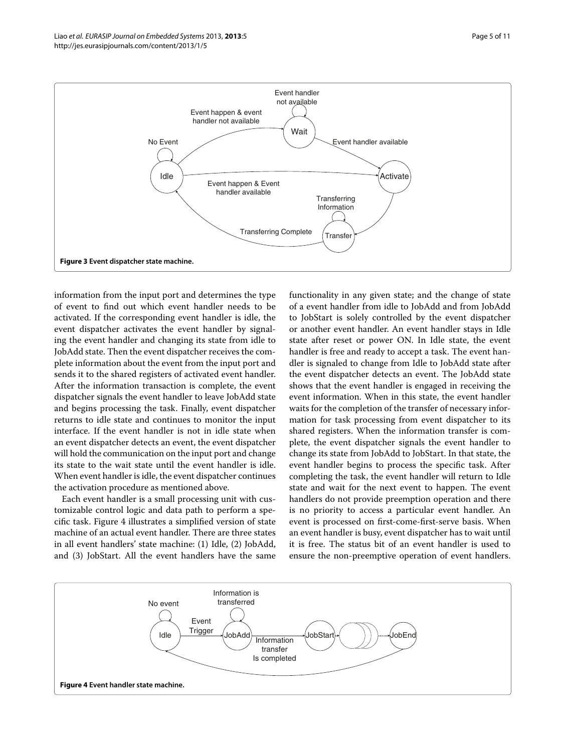

<span id="page-4-0"></span>information from the input port and determines the type of event to find out which event handler needs to be activated. If the corresponding event handler is idle, the event dispatcher activates the event handler by signaling the event handler and changing its state from idle to JobAdd state. Then the event dispatcher receives the complete information about the event from the input port and sends it to the shared registers of activated event handler. After the information transaction is complete, the event dispatcher signals the event handler to leave JobAdd state and begins processing the task. Finally, event dispatcher returns to idle state and continues to monitor the input interface. If the event handler is not in idle state when an event dispatcher detects an event, the event dispatcher will hold the communication on the input port and change its state to the wait state until the event handler is idle. When event handler is idle, the event dispatcher continues the activation procedure as mentioned above.

Each event handler is a small processing unit with customizable control logic and data path to perform a specific task. Figure [4](#page-4-1) illustrates a simplified version of state machine of an actual event handler. There are three states in all event handlers' state machine: (1) Idle, (2) JobAdd, and (3) JobStart. All the event handlers have the same

functionality in any given state; and the change of state of a event handler from idle to JobAdd and from JobAdd to JobStart is solely controlled by the event dispatcher or another event handler. An event handler stays in Idle state after reset or power ON. In Idle state, the event handler is free and ready to accept a task. The event handler is signaled to change from Idle to JobAdd state after the event dispatcher detects an event. The JobAdd state shows that the event handler is engaged in receiving the event information. When in this state, the event handler waits for the completion of the transfer of necessary information for task processing from event dispatcher to its shared registers. When the information transfer is complete, the event dispatcher signals the event handler to change its state from JobAdd to JobStart. In that state, the event handler begins to process the specific task. After completing the task, the event handler will return to Idle state and wait for the next event to happen. The event handlers do not provide preemption operation and there is no priority to access a particular event handler. An event is processed on first-come-first-serve basis. When an event handler is busy, event dispatcher has to wait until it is free. The status bit of an event handler is used to ensure the non-preemptive operation of event handlers.

<span id="page-4-1"></span>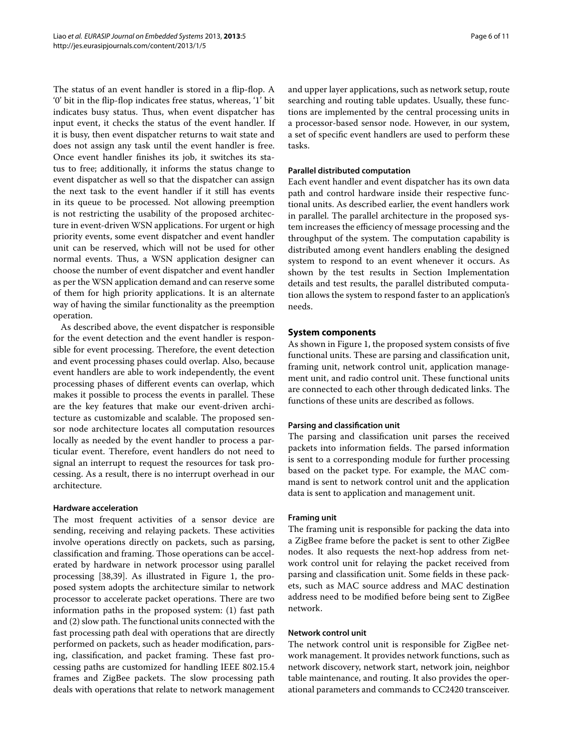The status of an event handler is stored in a flip-flop. A '0' bit in the flip-flop indicates free status, whereas, '1' bit indicates busy status. Thus, when event dispatcher has input event, it checks the status of the event handler. If it is busy, then event dispatcher returns to wait state and does not assign any task until the event handler is free. Once event handler finishes its job, it switches its status to free; additionally, it informs the status change to event dispatcher as well so that the dispatcher can assign the next task to the event handler if it still has events in its queue to be processed. Not allowing preemption is not restricting the usability of the proposed architecture in event-driven WSN applications. For urgent or high priority events, some event dispatcher and event handler unit can be reserved, which will not be used for other normal events. Thus, a WSN application designer can choose the number of event dispatcher and event handler as per the WSN application demand and can reserve some of them for high priority applications. It is an alternate way of having the similar functionality as the preemption operation.

As described above, the event dispatcher is responsible for the event detection and the event handler is responsible for event processing. Therefore, the event detection and event processing phases could overlap. Also, because event handlers are able to work independently, the event processing phases of different events can overlap, which makes it possible to process the events in parallel. These are the key features that make our event-driven architecture as customizable and scalable. The proposed sensor node architecture locates all computation resources locally as needed by the event handler to process a particular event. Therefore, event handlers do not need to signal an interrupt to request the resources for task processing. As a result, there is no interrupt overhead in our architecture.

#### **Hardware acceleration**

The most frequent activities of a sensor device are sending, receiving and relaying packets. These activities involve operations directly on packets, such as parsing, classification and framing. Those operations can be accelerated by hardware in network processor using parallel processing [\[38](#page-10-24)[,39\]](#page-10-25). As illustrated in Figure [1,](#page-3-0) the proposed system adopts the architecture similar to network processor to accelerate packet operations. There are two information paths in the proposed system: (1) fast path and (2) slow path. The functional units connected with the fast processing path deal with operations that are directly performed on packets, such as header modification, parsing, classification, and packet framing. These fast processing paths are customized for handling IEEE 802.15.4 frames and ZigBee packets. The slow processing path deals with operations that relate to network management and upper layer applications, such as network setup, route searching and routing table updates. Usually, these functions are implemented by the central processing units in a processor-based sensor node. However, in our system, a set of specific event handlers are used to perform these tasks.

#### **Parallel distributed computation**

Each event handler and event dispatcher has its own data path and control hardware inside their respective functional units. As described earlier, the event handlers work in parallel. The parallel architecture in the proposed system increases the efficiency of message processing and the throughput of the system. The computation capability is distributed among event handlers enabling the designed system to respond to an event whenever it occurs. As shown by the test results in Section Implementation details and test results, the parallel distributed computation allows the system to respond faster to an application's needs.

#### <span id="page-5-0"></span>**System components**

As shown in Figure [1,](#page-3-0) the proposed system consists of five functional units. These are parsing and classification unit, framing unit, network control unit, application management unit, and radio control unit. These functional units are connected to each other through dedicated links. The functions of these units are described as follows.

#### **Parsing and classification unit**

The parsing and classification unit parses the received packets into information fields. The parsed information is sent to a corresponding module for further processing based on the packet type. For example, the MAC command is sent to network control unit and the application data is sent to application and management unit.

#### **Framing unit**

The framing unit is responsible for packing the data into a ZigBee frame before the packet is sent to other ZigBee nodes. It also requests the next-hop address from network control unit for relaying the packet received from parsing and classification unit. Some fields in these packets, such as MAC source address and MAC destination address need to be modified before being sent to ZigBee network.

#### **Network control unit**

The network control unit is responsible for ZigBee network management. It provides network functions, such as network discovery, network start, network join, neighbor table maintenance, and routing. It also provides the operational parameters and commands to CC2420 transceiver.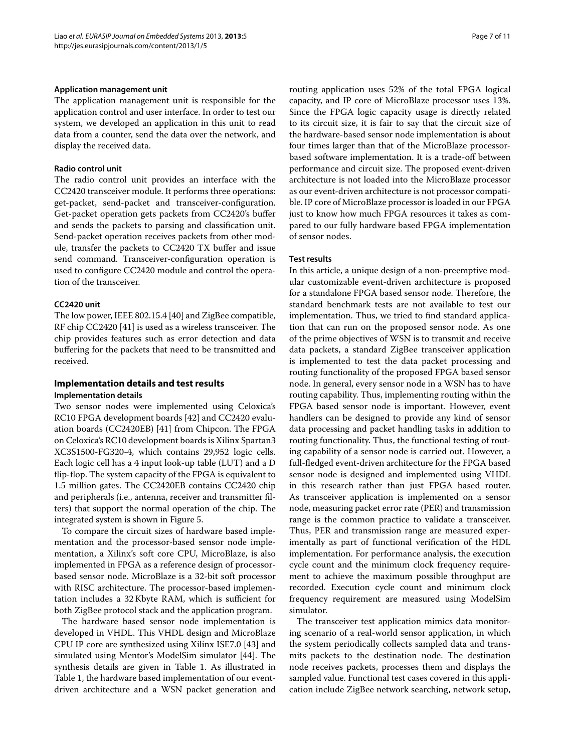#### **Application management unit**

The application management unit is responsible for the application control and user interface. In order to test our system, we developed an application in this unit to read data from a counter, send the data over the network, and display the received data.

#### **Radio control unit**

The radio control unit provides an interface with the CC2420 transceiver module. It performs three operations: get-packet, send-packet and transceiver-configuration. Get-packet operation gets packets from CC2420's buffer and sends the packets to parsing and classification unit. Send-packet operation receives packets from other module, transfer the packets to CC2420 TX buffer and issue send command. Transceiver-configuration operation is used to configure CC2420 module and control the operation of the transceiver.

#### **CC2420 unit**

The low power, IEEE 802.15.4 [\[40\]](#page-10-26) and ZigBee compatible, RF chip CC2420 [\[41\]](#page-10-27) is used as a wireless transceiver. The chip provides features such as error detection and data buffering for the packets that need to be transmitted and received.

## **Implementation details and test results**

#### **Implementation details**

Two sensor nodes were implemented using Celoxica's RC10 FPGA development boards [\[42\]](#page-10-28) and CC2420 evaluation boards (CC2420EB) [\[41\]](#page-10-27) from Chipcon. The FPGA on Celoxica's RC10 development boards is Xilinx Spartan3 XC3S1500-FG320-4, which contains 29,952 logic cells. Each logic cell has a 4 input look-up table (LUT) and a D flip-flop. The system capacity of the FPGA is equivalent to 1.5 million gates. The CC2420EB contains CC2420 chip and peripherals (i.e., antenna, receiver and transmitter filters) that support the normal operation of the chip. The integrated system is shown in Figure [5.](#page-7-0)

To compare the circuit sizes of hardware based implementation and the processor-based sensor node implementation, a Xilinx's soft core CPU, MicroBlaze, is also implemented in FPGA as a reference design of processorbased sensor node. MicroBlaze is a 32-bit soft processor with RISC architecture. The processor-based implementation includes a 32 Kbyte RAM, which is sufficient for both ZigBee protocol stack and the application program.

The hardware based sensor node implementation is developed in VHDL. This VHDL design and MicroBlaze CPU IP core are synthesized using Xilinx ISE7.0 [\[43\]](#page-10-29) and simulated using Mentor's ModelSim simulator [\[44\]](#page-10-30). The synthesis details are given in Table [1.](#page-7-1) As illustrated in Table [1,](#page-7-1) the hardware based implementation of our eventdriven architecture and a WSN packet generation and

routing application uses 52% of the total FPGA logical capacity, and IP core of MicroBlaze processor uses 13%. Since the FPGA logic capacity usage is directly related to its circuit size, it is fair to say that the circuit size of the hardware-based sensor node implementation is about four times larger than that of the MicroBlaze processorbased software implementation. It is a trade-off between performance and circuit size. The proposed event-driven architecture is not loaded into the MicroBlaze processor as our event-driven architecture is not processor compatible. IP core of MicroBlaze processor is loaded in our FPGA just to know how much FPGA resources it takes as compared to our fully hardware based FPGA implementation of sensor nodes.

#### **Test results**

In this article, a unique design of a non-preemptive modular customizable event-driven architecture is proposed for a standalone FPGA based sensor node. Therefore, the standard benchmark tests are not available to test our implementation. Thus, we tried to find standard application that can run on the proposed sensor node. As one of the prime objectives of WSN is to transmit and receive data packets, a standard ZigBee transceiver application is implemented to test the data packet processing and routing functionality of the proposed FPGA based sensor node. In general, every sensor node in a WSN has to have routing capability. Thus, implementing routing within the FPGA based sensor node is important. However, event handlers can be designed to provide any kind of sensor data processing and packet handling tasks in addition to routing functionality. Thus, the functional testing of routing capability of a sensor node is carried out. However, a full-fledged event-driven architecture for the FPGA based sensor node is designed and implemented using VHDL in this research rather than just FPGA based router. As transceiver application is implemented on a sensor node, measuring packet error rate (PER) and transmission range is the common practice to validate a transceiver. Thus, PER and transmission range are measured experimentally as part of functional verification of the HDL implementation. For performance analysis, the execution cycle count and the minimum clock frequency requirement to achieve the maximum possible throughput are recorded. Execution cycle count and minimum clock frequency requirement are measured using ModelSim simulator.

The transceiver test application mimics data monitoring scenario of a real-world sensor application, in which the system periodically collects sampled data and transmits packets to the destination node. The destination node receives packets, processes them and displays the sampled value. Functional test cases covered in this application include ZigBee network searching, network setup,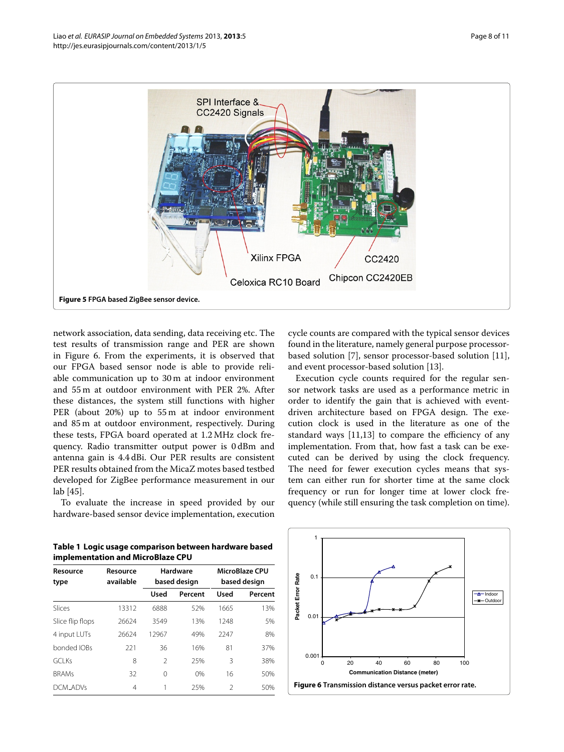

<span id="page-7-0"></span>network association, data sending, data receiving etc. The test results of transmission range and PER are shown in Figure [6.](#page-7-2) From the experiments, it is observed that our FPGA based sensor node is able to provide reliable communication up to 30 m at indoor environment and 55 m at outdoor environment with PER 2%. After these distances, the system still functions with higher PER (about 20%) up to 55 m at indoor environment and 85 m at outdoor environment, respectively. During these tests, FPGA board operated at 1.2 MHz clock frequency. Radio transmitter output power is 0 dBm and antenna gain is 4.4 dBi. Our PER results are consistent PER results obtained from the MicaZ motes based testbed developed for ZigBee performance measurement in our lab [\[45\]](#page-10-31).

To evaluate the increase in speed provided by our hardware-based sensor device implementation, execution

cycle counts are compared with the typical sensor devices found in the literature, namely general purpose processorbased solution [\[7\]](#page-10-1), sensor processor-based solution [\[11\]](#page-10-5), and event processor-based solution [\[13\]](#page-10-7). Execution cycle counts required for the regular sen-

sor network tasks are used as a performance metric in order to identify the gain that is achieved with eventdriven architecture based on FPGA design. The execution clock is used in the literature as one of the standard ways [\[11,](#page-10-5)[13\]](#page-10-7) to compare the efficiency of any implementation. From that, how fast a task can be executed can be derived by using the clock frequency. The need for fewer execution cycles means that system can either run for shorter time at the same clock frequency or run for longer time at lower clock frequency (while still ensuring the task completion on time).

**Table 1 Logic usage comparison between hardware based implementation and MicroBlaze CPU**

<span id="page-7-1"></span>

| Resource<br>type | Resource<br>available | <b>Hardware</b><br>based design |         | MicroBlaze CPU<br>based design |         |  |  |
|------------------|-----------------------|---------------------------------|---------|--------------------------------|---------|--|--|
|                  |                       | <b>Used</b>                     | Percent | Used                           | Percent |  |  |
| Slices           | 13312                 | 6888                            | 52%     | 1665                           | 13%     |  |  |
| Slice flip flops | 26624                 | 3549                            | 13%     | 1248                           | 5%      |  |  |
| 4 input LUTs     | 26624                 | 12967                           | 49%     | 2247                           | 8%      |  |  |
| bonded IOBs      | 221                   | 36                              | 16%     | 81                             | 37%     |  |  |
| GCI Ks           | 8                     | $\mathfrak{D}$                  | 25%     | 3                              | 38%     |  |  |
| <b>BRAMs</b>     | 32                    | 0                               | 0%      | 16                             | 50%     |  |  |
| DCM ADVs         | 4                     |                                 | 25%     | $\mathcal{P}$                  | 50%     |  |  |
|                  |                       |                                 |         |                                |         |  |  |

<span id="page-7-2"></span>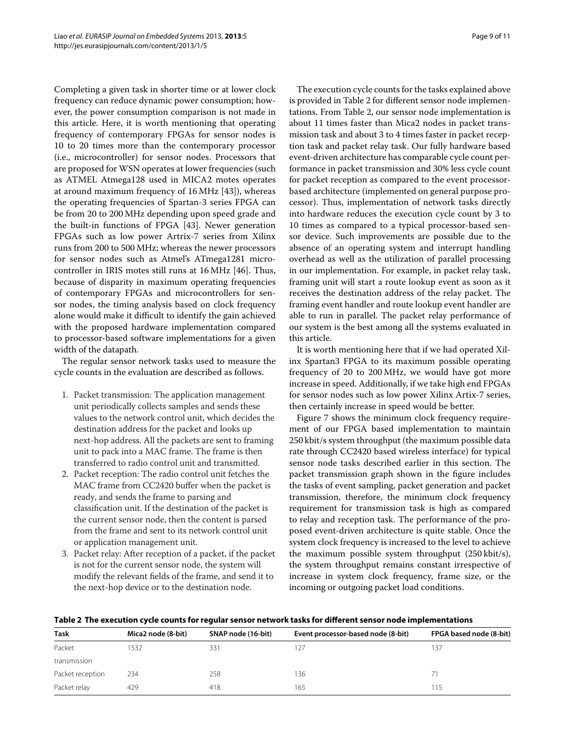Completing a given task in shorter time or at lower clock frequency can reduce dynamic power consumption; however, the power consumption comparison is not made in this article. Here, it is worth mentioning that operating frequency of contemporary FPGAs for sensor nodes is 10 to 20 times more than the contemporary processor (i.e., microcontroller) for sensor nodes. Processors that are proposed for WSN operates at lower frequencies (such as ATMEL Atmega128 used in MICA2 motes operates at around maximum frequency of 16 MHz [\[43\]](#page-10-29)), whereas the operating frequencies of Spartan-3 series FPGA can be from 20 to 200 MHz depending upon speed grade and the built-in functions of FPGA [\[43\]](#page-10-29). Newer generation FPGAs such as low power Artrix-7 series from Xilinx runs from 200 to 500 MHz; whereas the newer processors for sensor nodes such as Atmel's ATmega1281 microcontroller in IRIS motes still runs at 16 MHz [\[46\]](#page-10-32). Thus, because of disparity in maximum operating frequencies of contemporary FPGAs and microcontrollers for sensor nodes, the timing analysis based on clock frequency alone would make it difficult to identify the gain achieved with the proposed hardware implementation compared to processor-based software implementations for a given width of the datapath.

The regular sensor network tasks used to measure the cycle counts in the evaluation are described as follows.

- 1. Packet transmission: The application management unit periodically collects samples and sends these values to the network control unit, which decides the destination address for the packet and looks up next-hop address. All the packets are sent to framing unit to pack into a MAC frame. The frame is then transferred to radio control unit and transmitted.
- 2. Packet reception: The radio control unit fetches the MAC frame from CC2420 buffer when the packet is ready, and sends the frame to parsing and classification unit. If the destination of the packet is the current sensor node, then the content is parsed from the frame and sent to its network control unit or application management unit.
- 3. Packet relay: After reception of a packet, if the packet is not for the current sensor node, the system will modify the relevant fields of the frame, and send it to the next-hop device or to the destination node.

The execution cycle counts for the tasks explained above is provided in Table [2](#page-8-0) for different sensor node implementations. From Table [2,](#page-8-0) our sensor node implementation is about 11 times faster than Mica2 nodes in packet transmission task and about 3 to 4 times faster in packet reception task and packet relay task. Our fully hardware based event-driven architecture has comparable cycle count performance in packet transmission and 30% less cycle count for packet reception as compared to the event processorbased architecture (implemented on general purpose processor). Thus, implementation of network tasks directly into hardware reduces the execution cycle count by 3 to 10 times as compared to a typical processor-based sensor device. Such improvements are possible due to the absence of an operating system and interrupt handling overhead as well as the utilization of parallel processing in our implementation. For example, in packet relay task, framing unit will start a route lookup event as soon as it receives the destination address of the relay packet. The framing event handler and route lookup event handler are able to run in parallel. The packet relay performance of our system is the best among all the systems evaluated in this article.

It is worth mentioning here that if we had operated Xilinx Spartan3 FPGA to its maximum possible operating frequency of 20 to 200 MHz, we would have got more increase in speed. Additionally, if we take high end FPGAs for sensor nodes such as low power Xilinx Artix-7 series, then certainly increase in speed would be better.

Figure [7](#page-9-6) shows the minimum clock frequency requirement of our FPGA based implementation to maintain 250 kbit/s system throughput (the maximum possible data rate through CC2420 based wireless interface) for typical sensor node tasks described earlier in this section. The packet transmission graph shown in the figure includes the tasks of event sampling, packet generation and packet transmission, therefore, the minimum clock frequency requirement for transmission task is high as compared to relay and reception task. The performance of the proposed event-driven architecture is quite stable. Once the system clock frequency is increased to the level to achieve the maximum possible system throughput (250 kbit/s), the system throughput remains constant irrespective of increase in system clock frequency, frame size, or the incoming or outgoing packet load conditions.

#### **Table 2 The execution cycle counts for regular sensor network tasks for different sensor node implementations**

<span id="page-8-0"></span>

| <b>Task</b>      | Mica2 node (8-bit) | SNAP node (16-bit) | Event processor-based node (8-bit) | FPGA based node (8-bit) |  |  |
|------------------|--------------------|--------------------|------------------------------------|-------------------------|--|--|
| Packet           | 532                | 331                | 127                                | 137                     |  |  |
| transmission     |                    |                    |                                    |                         |  |  |
| Packet reception | 234                | 258                | 136                                | 71                      |  |  |
| Packet relay     | 429                | 418                | 165                                | 115                     |  |  |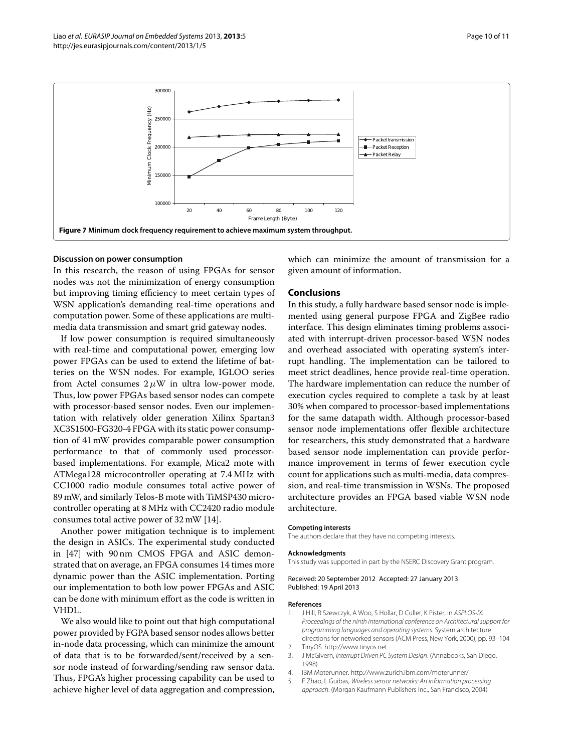

#### <span id="page-9-6"></span>**Discussion on power consumption**

In this research, the reason of using FPGAs for sensor nodes was not the minimization of energy consumption but improving timing efficiency to meet certain types of WSN application's demanding real-time operations and computation power. Some of these applications are multimedia data transmission and smart grid gateway nodes.

If low power consumption is required simultaneously with real-time and computational power, emerging low power FPGAs can be used to extend the lifetime of batteries on the WSN nodes. For example, IGLOO series from Actel consumes  $2 \mu W$  in ultra low-power mode. Thus, low power FPGAs based sensor nodes can compete with processor-based sensor nodes. Even our implementation with relatively older generation Xilinx Spartan3 XC3S1500-FG320-4 FPGA with its static power consumption of 41 mW provides comparable power consumption performance to that of commonly used processorbased implementations. For example, Mica2 mote with ATMega128 microcontroller operating at 7.4 MHz with CC1000 radio module consumes total active power of 89 mW, and similarly Telos-B mote with TiMSP430 microcontroller operating at 8 MHz with CC2420 radio module consumes total active power of 32 mW [\[14\]](#page-10-8).

Another power mitigation technique is to implement the design in ASICs. The experimental study conducted in [\[47\]](#page-10-33) with 90 nm CMOS FPGA and ASIC demonstrated that on average, an FPGA consumes 14 times more dynamic power than the ASIC implementation. Porting our implementation to both low power FPGAs and ASIC can be done with minimum effort as the code is written in VHDL.

We also would like to point out that high computational power provided by FGPA based sensor nodes allows better in-node data processing, which can minimize the amount of data that is to be forwarded/sent/received by a sensor node instead of forwarding/sending raw sensor data. Thus, FPGA's higher processing capability can be used to achieve higher level of data aggregation and compression,

which can minimize the amount of transmission for a given amount of information.

#### <span id="page-9-4"></span>**Conclusions**

In this study, a fully hardware based sensor node is implemented using general purpose FPGA and ZigBee radio interface. This design eliminates timing problems associated with interrupt-driven processor-based WSN nodes and overhead associated with operating system's interrupt handling. The implementation can be tailored to meet strict deadlines, hence provide real-time operation. The hardware implementation can reduce the number of execution cycles required to complete a task by at least 30% when compared to processor-based implementations for the same datapath width. Although processor-based sensor node implementations offer flexible architecture for researchers, this study demonstrated that a hardware based sensor node implementation can provide performance improvement in terms of fewer execution cycle count for applications such as multi-media, data compression, and real-time transmission in WSNs. The proposed architecture provides an FPGA based viable WSN node architecture.

#### **Competing interests**

The authors declare that they have no competing interests.

#### **Acknowledgments**

This study was supported in part by the NSERC Discovery Grant program.

#### Received: 20 September 2012 Accepted: 27 January 2013 Published: 19 April 2013

#### **References**

- <span id="page-9-0"></span>1. J Hill, R Szewczyk, A Woo, S Hollar, D Culler, K Pister, in ASPLOS-IX: Proceedings of the ninth international conference on Architectural support for programming languages and operating systems. System architecture directions for networked sensors (ACM Press, New York, 2000), pp. 93–104
- <span id="page-9-1"></span>2. TinyOS.<http://www.tinyos.net>
- <span id="page-9-2"></span>3. J McGivern, Interrupt Driven PC System Design. (Annabooks, San Diego, 1998)
- <span id="page-9-3"></span>4. IBM Moterunner.<http://www.zurich.ibm.com/moterunner/>
- <span id="page-9-5"></span>5. F Zhao, L Guibas, Wireless sensor networks: An information processing approach. (Morgan Kaufmann Publishers Inc., San Francisco, 2004)